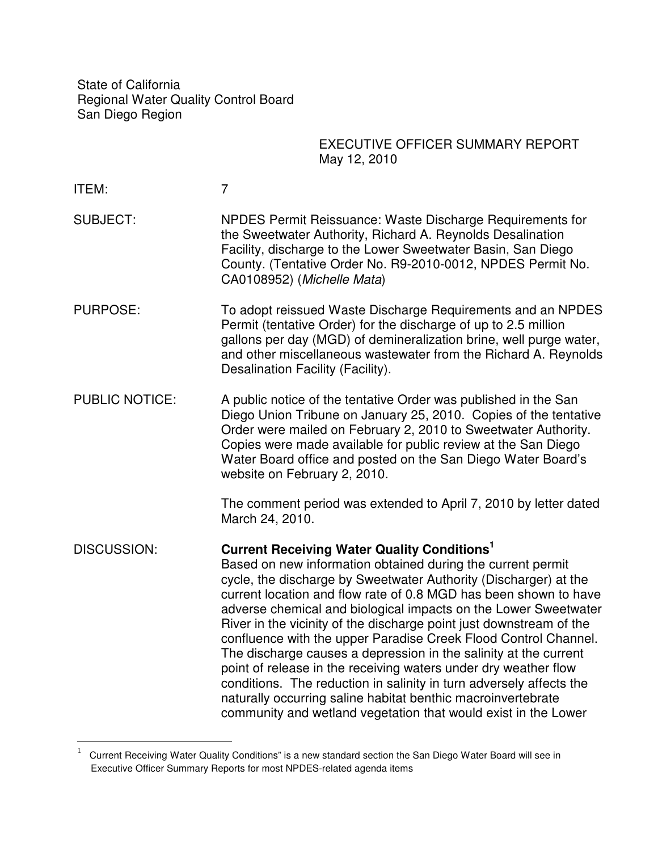State of California Regional Water Quality Control Board San Diego Region

# EXECUTIVE OFFICER SUMMARY REPORT May 12, 2010

ITEM: 7

 $\overline{\phantom{0}}$ 

- SUBJECT: NPDES Permit Reissuance: Waste Discharge Requirements for the Sweetwater Authority, Richard A. Reynolds Desalination Facility, discharge to the Lower Sweetwater Basin, San Diego County. (Tentative Order No. R9-2010-0012, NPDES Permit No. CA0108952) (Michelle Mata)
- PURPOSE: To adopt reissued Waste Discharge Requirements and an NPDES Permit (tentative Order) for the discharge of up to 2.5 million gallons per day (MGD) of demineralization brine, well purge water, and other miscellaneous wastewater from the Richard A. Reynolds Desalination Facility (Facility).
- PUBLIC NOTICE: A public notice of the tentative Order was published in the San Diego Union Tribune on January 25, 2010. Copies of the tentative Order were mailed on February 2, 2010 to Sweetwater Authority. Copies were made available for public review at the San Diego Water Board office and posted on the San Diego Water Board's website on February 2, 2010.

The comment period was extended to April 7, 2010 by letter dated March 24, 2010.

DISCUSSION: **Current Receiving Water Quality Conditions<sup>1</sup>** Based on new information obtained during the current permit cycle, the discharge by Sweetwater Authority (Discharger) at the current location and flow rate of 0.8 MGD has been shown to have adverse chemical and biological impacts on the Lower Sweetwater River in the vicinity of the discharge point just downstream of the confluence with the upper Paradise Creek Flood Control Channel. The discharge causes a depression in the salinity at the current point of release in the receiving waters under dry weather flow conditions. The reduction in salinity in turn adversely affects the naturally occurring saline habitat benthic macroinvertebrate community and wetland vegetation that would exist in the Lower

<sup>1</sup> Current Receiving Water Quality Conditions" is a new standard section the San Diego Water Board will see in Executive Officer Summary Reports for most NPDES-related agenda items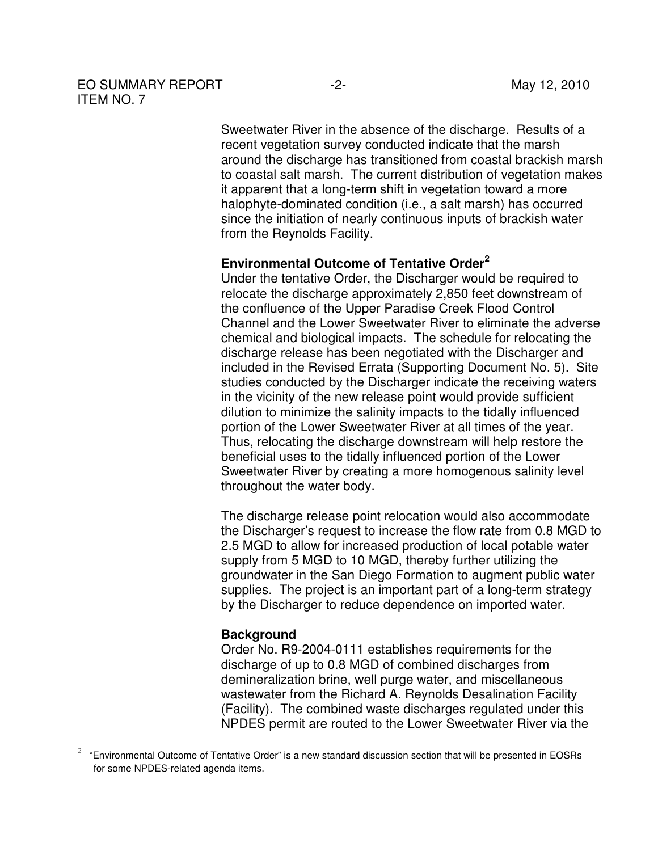## EO SUMMARY REPORT -2-<br>
May 12, 2010 ITEM NO. 7

Sweetwater River in the absence of the discharge. Results of a recent vegetation survey conducted indicate that the marsh around the discharge has transitioned from coastal brackish marsh to coastal salt marsh. The current distribution of vegetation makes it apparent that a long-term shift in vegetation toward a more halophyte-dominated condition (i.e., a salt marsh) has occurred since the initiation of nearly continuous inputs of brackish water from the Reynolds Facility.

# **Environmental Outcome of Tentative Order<sup>2</sup>**

Under the tentative Order, the Discharger would be required to relocate the discharge approximately 2,850 feet downstream of the confluence of the Upper Paradise Creek Flood Control Channel and the Lower Sweetwater River to eliminate the adverse chemical and biological impacts. The schedule for relocating the discharge release has been negotiated with the Discharger and included in the Revised Errata (Supporting Document No. 5). Site studies conducted by the Discharger indicate the receiving waters in the vicinity of the new release point would provide sufficient dilution to minimize the salinity impacts to the tidally influenced portion of the Lower Sweetwater River at all times of the year. Thus, relocating the discharge downstream will help restore the beneficial uses to the tidally influenced portion of the Lower Sweetwater River by creating a more homogenous salinity level throughout the water body.

The discharge release point relocation would also accommodate the Discharger's request to increase the flow rate from 0.8 MGD to 2.5 MGD to allow for increased production of local potable water supply from 5 MGD to 10 MGD, thereby further utilizing the groundwater in the San Diego Formation to augment public water supplies. The project is an important part of a long-term strategy by the Discharger to reduce dependence on imported water.

#### **Background**

 $\overline{a}$ 

Order No. R9-2004-0111 establishes requirements for the discharge of up to 0.8 MGD of combined discharges from demineralization brine, well purge water, and miscellaneous wastewater from the Richard A. Reynolds Desalination Facility (Facility). The combined waste discharges regulated under this NPDES permit are routed to the Lower Sweetwater River via the

 $\overline{2}$ "Environmental Outcome of Tentative Order" is a new standard discussion section that will be presented in EOSRs for some NPDES-related agenda items.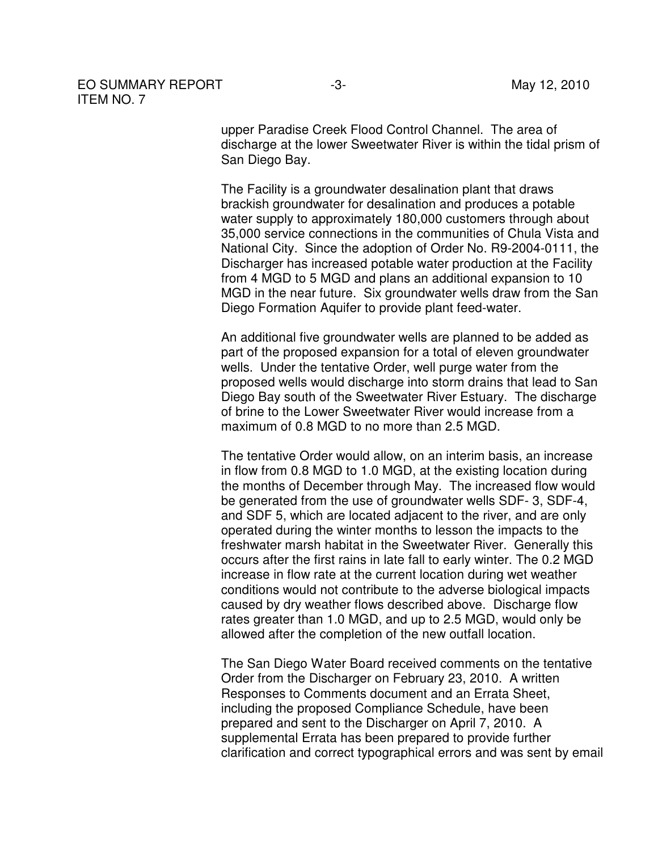## EO SUMMARY REPORT -3-<br>
May 12, 2010 ITEM NO. 7

upper Paradise Creek Flood Control Channel. The area of discharge at the lower Sweetwater River is within the tidal prism of San Diego Bay.

The Facility is a groundwater desalination plant that draws brackish groundwater for desalination and produces a potable water supply to approximately 180,000 customers through about 35,000 service connections in the communities of Chula Vista and National City. Since the adoption of Order No. R9-2004-0111, the Discharger has increased potable water production at the Facility from 4 MGD to 5 MGD and plans an additional expansion to 10 MGD in the near future. Six groundwater wells draw from the San Diego Formation Aquifer to provide plant feed-water.

An additional five groundwater wells are planned to be added as part of the proposed expansion for a total of eleven groundwater wells. Under the tentative Order, well purge water from the proposed wells would discharge into storm drains that lead to San Diego Bay south of the Sweetwater River Estuary. The discharge of brine to the Lower Sweetwater River would increase from a maximum of 0.8 MGD to no more than 2.5 MGD.

The tentative Order would allow, on an interim basis, an increase in flow from 0.8 MGD to 1.0 MGD, at the existing location during the months of December through May. The increased flow would be generated from the use of groundwater wells SDF- 3, SDF-4, and SDF 5, which are located adjacent to the river, and are only operated during the winter months to lesson the impacts to the freshwater marsh habitat in the Sweetwater River. Generally this occurs after the first rains in late fall to early winter. The 0.2 MGD increase in flow rate at the current location during wet weather conditions would not contribute to the adverse biological impacts caused by dry weather flows described above. Discharge flow rates greater than 1.0 MGD, and up to 2.5 MGD, would only be allowed after the completion of the new outfall location.

The San Diego Water Board received comments on the tentative Order from the Discharger on February 23, 2010. A written Responses to Comments document and an Errata Sheet, including the proposed Compliance Schedule, have been prepared and sent to the Discharger on April 7, 2010. A supplemental Errata has been prepared to provide further clarification and correct typographical errors and was sent by email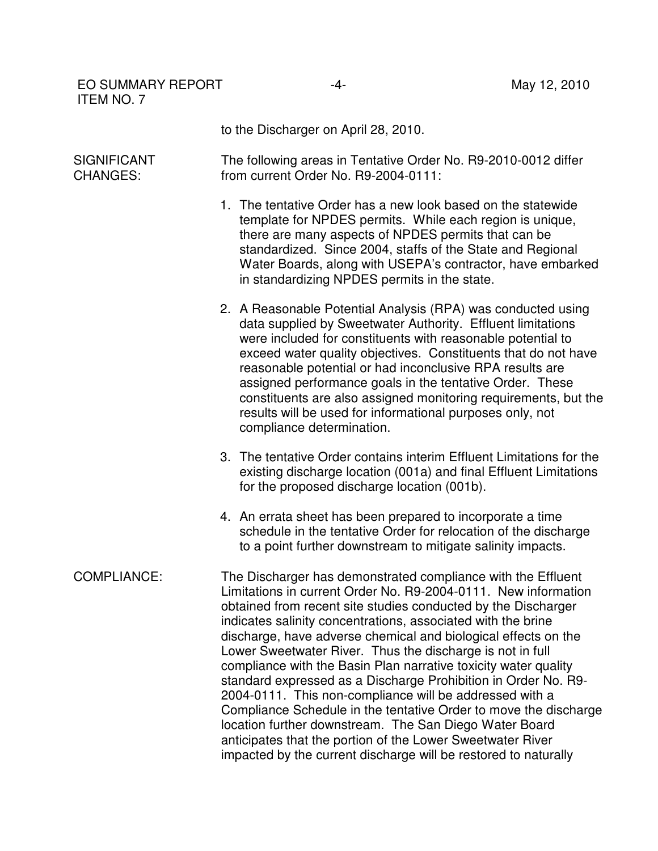EO SUMMARY REPORT 4-<br>According to the May 12, 2010 ITEM NO. 7

to the Discharger on April 28, 2010.

**SIGNIFICANT** CHANGES: The following areas in Tentative Order No. R9-2010-0012 differ from current Order No. R9-2004-0111:

- 1. The tentative Order has a new look based on the statewide template for NPDES permits. While each region is unique, there are many aspects of NPDES permits that can be standardized. Since 2004, staffs of the State and Regional Water Boards, along with USEPA's contractor, have embarked in standardizing NPDES permits in the state.
- 2. A Reasonable Potential Analysis (RPA) was conducted using data supplied by Sweetwater Authority. Effluent limitations were included for constituents with reasonable potential to exceed water quality objectives. Constituents that do not have reasonable potential or had inconclusive RPA results are assigned performance goals in the tentative Order. These constituents are also assigned monitoring requirements, but the results will be used for informational purposes only, not compliance determination.
- 3. The tentative Order contains interim Effluent Limitations for the existing discharge location (001a) and final Effluent Limitations for the proposed discharge location (001b).
- 4. An errata sheet has been prepared to incorporate a time schedule in the tentative Order for relocation of the discharge to a point further downstream to mitigate salinity impacts.
- COMPLIANCE: The Discharger has demonstrated compliance with the Effluent Limitations in current Order No. R9-2004-0111. New information obtained from recent site studies conducted by the Discharger indicates salinity concentrations, associated with the brine discharge, have adverse chemical and biological effects on the Lower Sweetwater River. Thus the discharge is not in full compliance with the Basin Plan narrative toxicity water quality standard expressed as a Discharge Prohibition in Order No. R9- 2004-0111. This non-compliance will be addressed with a Compliance Schedule in the tentative Order to move the discharge location further downstream. The San Diego Water Board anticipates that the portion of the Lower Sweetwater River impacted by the current discharge will be restored to naturally